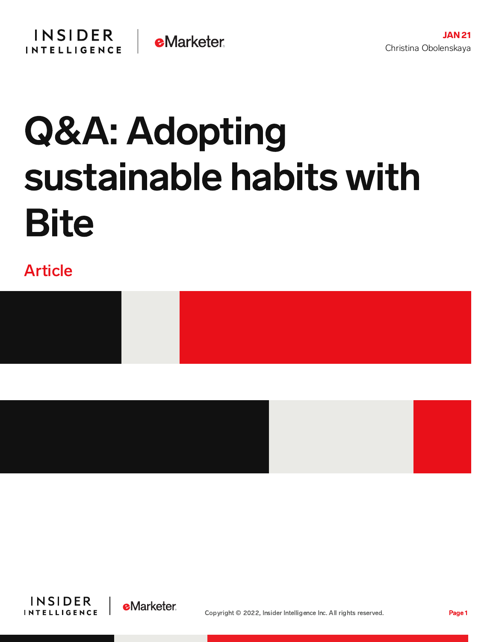

# Q&A: Adopting sustainable habits with **Bite**

# Article







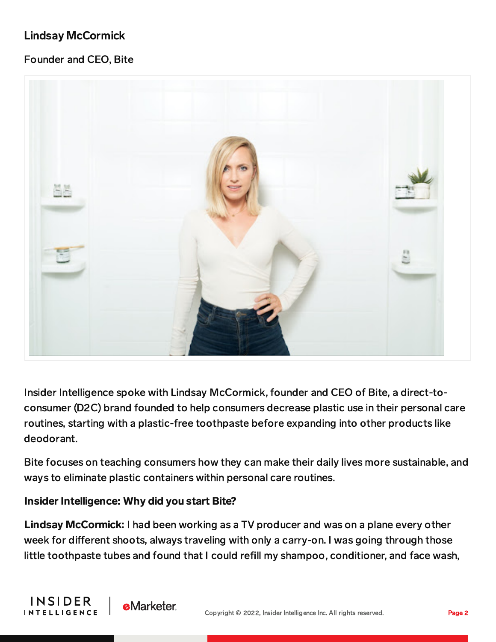# Lindsay McCormick

## Founder and CEO, Bite



Insider Intelligence spoke with Lindsay McCormick, founder and CEO of Bite, a direct-toconsumer (D2C) brand founded to help consumers decrease plastic use in their personal care routines, starting with a plastic-free toothpaste before expanding into other products like deodorant.

Bite focuses on teaching consumers how they can make their daily lives more sustainable, and ways to eliminate plastic containers within personal care routines.

#### Insider Intelligence: Why did you start Bite?

**eMarketer** 

**INSIDER** 

**INTELLIGENCE** 

Lindsay McCormick: I had been working as a TV producer and was on a plane every other week for different shoots, always traveling with only a carry-on. I was going through those little toothpaste tubes and found that I could refill my shampoo, conditioner, and face wash,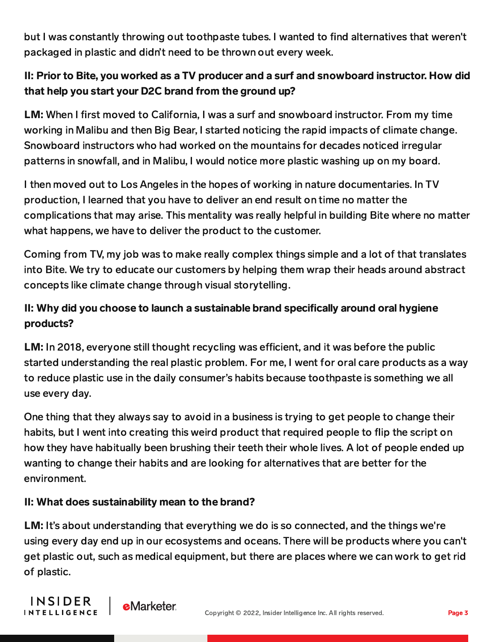but I was constantly throwing out toothpaste tubes. I wanted to find alternatives that weren't packaged in plastic and didn't need to be thrown out every week.

# II: Prior to Bite, you worked as a TV producer and a surf and snowboard instructor. How did that help you start your D2C brand from the ground up?

LM: When I first moved to California, I was a surf and snowboard instructor. From my time working in Malibu and then Big Bear, I started noticing the rapid impacts of climate change. Snowboard instructors who had worked on the mountains for decades noticed irregular patterns in snowfall, and in Malibu, I would notice more plastic washing up on my board.

I then moved out to Los Angeles in the hopes of working in nature documentaries. In TV production, I learned that you have to deliver an end result on time no matter the complications that may arise. This mentality was really helpful in building Bite where no matter what happens, we have to deliver the product to the customer.

Coming from TV, my job was to make really complex things simple and a lot of that translates into Bite. We try to educate our customers by helping them wrap their heads around abstract concepts like climate change through visual storytelling.

# II: Why did you choose to launch a sustainable brand specifically around oral hygiene products?

LM: In 2018, everyone still thought recycling was efficient, and it was before the public started understanding the real plastic problem. For me, I went for oral care products as a way to reduce plastic use in the daily consumer's habits because toothpaste is something we all use every day.

One thing that they always say to avoid in a business is trying to get people to change their habits, but I went into creating this weird product that required people to flip the script on how they have habitually been brushing their teeth their whole lives. A lot of people ended up wanting to change their habits and are looking for alternatives that are better for the environment.

### II: What does sustainability mean to the brand?

LM: It's about understanding that everything we do is so connected, and the things we're using every day end up in our ecosystems and oceans. There will be products where you can't get plastic out, such as medical equipment, but there are places where we can work to get rid of plastic.